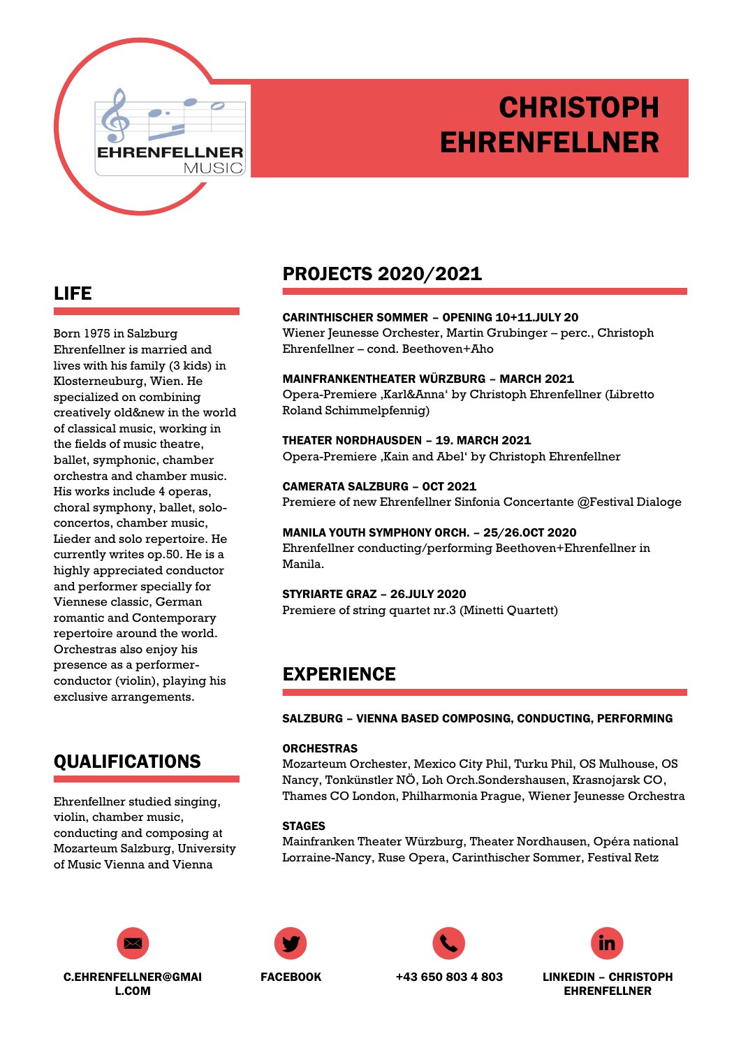# **CHRISTOPH** EHRENFELLNER

ONLINE: PORTFOLIO/WEBSITE/BLOG

## LIFE

Born 1975 in Salzburg Ehrenfellner is married and lives with his family (3 kids) in Klosterneuburg, Wien. He specialized on combining creatively old&new in the world of classical music, working in the fields of music theatre, ballet, symphonic, chamber orchestra and chamber music. His works include 4 operas, choral symphony, ballet, soloconcertos, chamber music, Lieder and solo repertoire. He currently writes op.50. He is a highly appreciated conductor and performer specially for Viennese classic, German romantic and Contemporary repertoire around the world. Orchestras also enjoy his presence as a performerconductor (violin), playing his exclusive arrangements.

EHRENFEL

**NER MUSIC** 

# QUALIFICATIONS

Ehrenfellner studied singing, violin, chamber music, conducting and composing at Mozarteum Salzburg, University of Music Vienna and Vienna



# PROJECTS 2020/2021

CARINTHISCHER SOMMER – OPENING 10+11.JULY 20 Wiener Jeunesse Orchester, Martin Grubinger – perc., Christoph Ehrenfellner – cond. Beethoven+Aho

MAINFRANKENTHEATER WÜRZBURG – MARCH 2021 Opera-Premiere 'Karl&Anna' by Christoph Ehrenfellner (Libretto Roland Schimmelpfennig)

THEATER NORDHAUSDEN – 19. MARCH 2021 Opera-Premiere , Kain and Abel' by Christoph Ehrenfellner

CAMERATA SALZBURG – OCT 2021 Premiere of new Ehrenfellner Sinfonia Concertante @Festival Dialoge

MANILA YOUTH SYMPHONY ORCH. – 25/26.OCT 2020 Ehrenfellner conducting/performing Beethoven+Ehrenfellner in Manila.

STYRIARTE GRAZ – 26.JULY 2020 Premiere of string quartet nr.3 (Minetti Quartett)

### EXPERIENCE

SALZBURG – VIENNA BASED COMPOSING, CONDUCTING, PERFORMING

#### **ORCHESTRAS**

Mozarteum Orchester, Mexico City Phil, Turku Phil, OS Mulhouse, OS Nancy, Tonkünstler NÖ, Loh Orch.Sondershausen, Krasnojarsk CO, Thames CO London, Philharmonia Prague, Wiener Jeunesse Orchestra

#### **STAGES**

Mainfranken Theater Würzburg, Theater Nordhausen, Opéra national Lorraine-Nancy, Ruse Opera, Carinthischer Sommer, Festival Retz







FACEBOOK +43 650 803 4 803 LINKEDIN – CHRISTOPH EHRENFELLNER